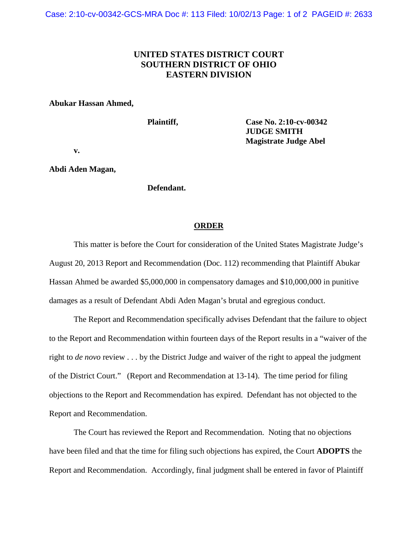## **UNITED STATES DISTRICT COURT SOUTHERN DISTRICT OF OHIO EASTERN DIVISION**

## **Abukar Hassan Ahmed,**

**Plaintiff, Case No. 2:10-cv-00342 JUDGE SMITH Magistrate Judge Abel**

**v.**

**Abdi Aden Magan,**

**Defendant.**

## **ORDER**

This matter is before the Court for consideration of the United States Magistrate Judge's August 20, 2013 Report and Recommendation (Doc. 112) recommending that Plaintiff Abukar Hassan Ahmed be awarded \$5,000,000 in compensatory damages and \$10,000,000 in punitive damages as a result of Defendant Abdi Aden Magan's brutal and egregious conduct.

The Report and Recommendation specifically advises Defendant that the failure to object to the Report and Recommendation within fourteen days of the Report results in a "waiver of the right to *de novo* review . . . by the District Judge and waiver of the right to appeal the judgment of the District Court." (Report and Recommendation at 13-14). The time period for filing objections to the Report and Recommendation has expired. Defendant has not objected to the Report and Recommendation.

The Court has reviewed the Report and Recommendation. Noting that no objections have been filed and that the time for filing such objections has expired, the Court **ADOPTS** the Report and Recommendation. Accordingly, final judgment shall be entered in favor of Plaintiff